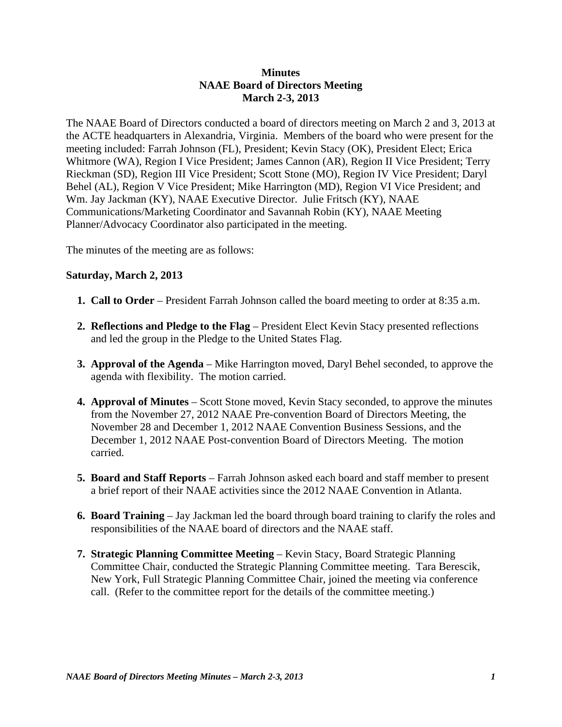## **Minutes NAAE Board of Directors Meeting March 2-3, 2013**

The NAAE Board of Directors conducted a board of directors meeting on March 2 and 3, 2013 at the ACTE headquarters in Alexandria, Virginia. Members of the board who were present for the meeting included: Farrah Johnson (FL), President; Kevin Stacy (OK), President Elect; Erica Whitmore (WA), Region I Vice President; James Cannon (AR), Region II Vice President; Terry Rieckman (SD), Region III Vice President; Scott Stone (MO), Region IV Vice President; Daryl Behel (AL), Region V Vice President; Mike Harrington (MD), Region VI Vice President; and Wm. Jay Jackman (KY), NAAE Executive Director. Julie Fritsch (KY), NAAE Communications/Marketing Coordinator and Savannah Robin (KY), NAAE Meeting Planner/Advocacy Coordinator also participated in the meeting.

The minutes of the meeting are as follows:

## **Saturday, March 2, 2013**

- **1. Call to Order** President Farrah Johnson called the board meeting to order at 8:35 a.m.
- **2. Reflections and Pledge to the Flag** President Elect Kevin Stacy presented reflections and led the group in the Pledge to the United States Flag.
- **3. Approval of the Agenda** Mike Harrington moved, Daryl Behel seconded, to approve the agenda with flexibility. The motion carried.
- **4. Approval of Minutes** Scott Stone moved, Kevin Stacy seconded, to approve the minutes from the November 27, 2012 NAAE Pre-convention Board of Directors Meeting, the November 28 and December 1, 2012 NAAE Convention Business Sessions, and the December 1, 2012 NAAE Post-convention Board of Directors Meeting. The motion carried.
- **5. Board and Staff Reports** Farrah Johnson asked each board and staff member to present a brief report of their NAAE activities since the 2012 NAAE Convention in Atlanta.
- **6. Board Training** Jay Jackman led the board through board training to clarify the roles and responsibilities of the NAAE board of directors and the NAAE staff.
- **7. Strategic Planning Committee Meeting** Kevin Stacy, Board Strategic Planning Committee Chair, conducted the Strategic Planning Committee meeting. Tara Berescik, New York, Full Strategic Planning Committee Chair, joined the meeting via conference call. (Refer to the committee report for the details of the committee meeting.)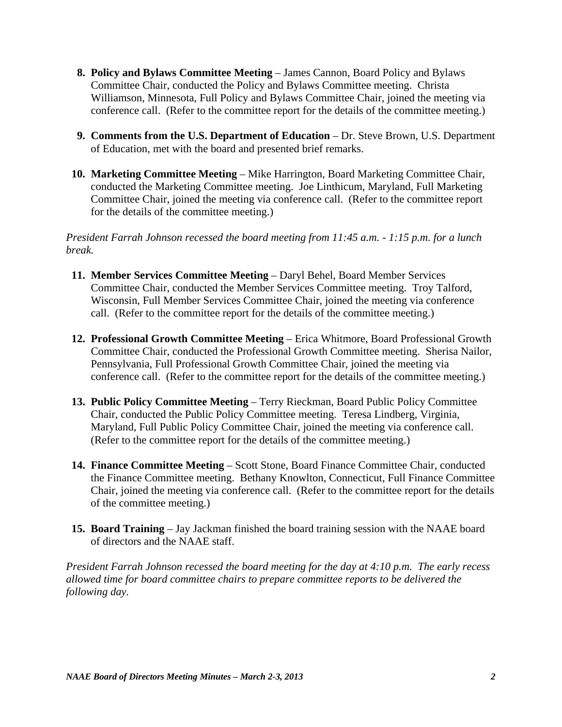- **8. Policy and Bylaws Committee Meeting James Cannon, Board Policy and Bylaws** Committee Chair, conducted the Policy and Bylaws Committee meeting. Christa Williamson, Minnesota, Full Policy and Bylaws Committee Chair, joined the meeting via conference call. (Refer to the committee report for the details of the committee meeting.)
- **9. Comments from the U.S. Department of Education** Dr. Steve Brown, U.S. Department of Education, met with the board and presented brief remarks.
- **10. Marketing Committee Meeting** Mike Harrington, Board Marketing Committee Chair, conducted the Marketing Committee meeting. Joe Linthicum, Maryland, Full Marketing Committee Chair, joined the meeting via conference call. (Refer to the committee report for the details of the committee meeting.)

*President Farrah Johnson recessed the board meeting from 11:45 a.m. - 1:15 p.m. for a lunch break.*

- **11. Member Services Committee Meeting**  Daryl Behel, Board Member Services Committee Chair, conducted the Member Services Committee meeting. Troy Talford, Wisconsin, Full Member Services Committee Chair, joined the meeting via conference call. (Refer to the committee report for the details of the committee meeting.)
- **12. Professional Growth Committee Meeting** Erica Whitmore, Board Professional Growth Committee Chair, conducted the Professional Growth Committee meeting. Sherisa Nailor, Pennsylvania, Full Professional Growth Committee Chair, joined the meeting via conference call. (Refer to the committee report for the details of the committee meeting.)
- **13. Public Policy Committee Meeting** Terry Rieckman, Board Public Policy Committee Chair, conducted the Public Policy Committee meeting. Teresa Lindberg, Virginia, Maryland, Full Public Policy Committee Chair, joined the meeting via conference call. (Refer to the committee report for the details of the committee meeting.)
- **14. Finance Committee Meeting**  Scott Stone, Board Finance Committee Chair, conducted the Finance Committee meeting. Bethany Knowlton, Connecticut, Full Finance Committee Chair, joined the meeting via conference call. (Refer to the committee report for the details of the committee meeting.)
- **15. Board Training** Jay Jackman finished the board training session with the NAAE board of directors and the NAAE staff.

*President Farrah Johnson recessed the board meeting for the day at 4:10 p.m. The early recess allowed time for board committee chairs to prepare committee reports to be delivered the following day.*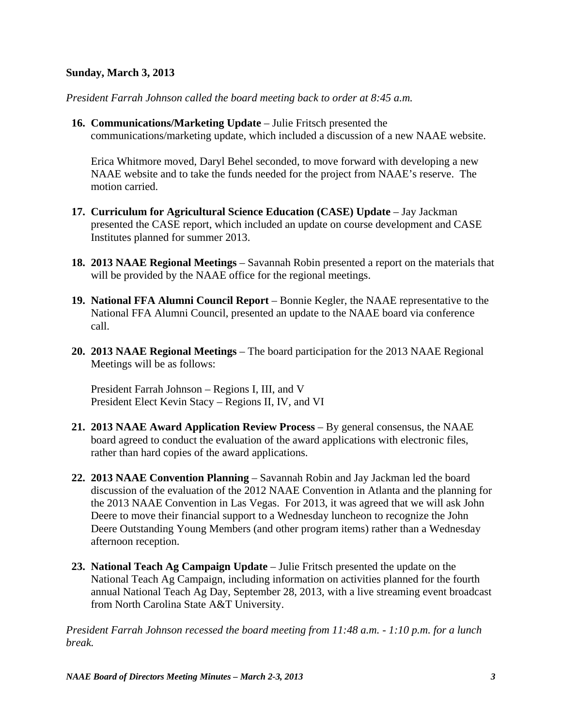## **Sunday, March 3, 2013**

*President Farrah Johnson called the board meeting back to order at 8:45 a.m.* 

**16. Communications/Marketing Update** – Julie Fritsch presented the communications/marketing update, which included a discussion of a new NAAE website.

Erica Whitmore moved, Daryl Behel seconded, to move forward with developing a new NAAE website and to take the funds needed for the project from NAAE's reserve. The motion carried.

- **17. Curriculum for Agricultural Science Education (CASE) Update** Jay Jackman presented the CASE report, which included an update on course development and CASE Institutes planned for summer 2013.
- **18. 2013 NAAE Regional Meetings** Savannah Robin presented a report on the materials that will be provided by the NAAE office for the regional meetings.
- **19. National FFA Alumni Council Report** Bonnie Kegler, the NAAE representative to the National FFA Alumni Council, presented an update to the NAAE board via conference call.
- **20. 2013 NAAE Regional Meetings** The board participation for the 2013 NAAE Regional Meetings will be as follows:

 President Farrah Johnson – Regions I, III, and V President Elect Kevin Stacy – Regions II, IV, and VI

- **21. 2013 NAAE Award Application Review Process** By general consensus, the NAAE board agreed to conduct the evaluation of the award applications with electronic files, rather than hard copies of the award applications.
- **22. 2013 NAAE Convention Planning** Savannah Robin and Jay Jackman led the board discussion of the evaluation of the 2012 NAAE Convention in Atlanta and the planning for the 2013 NAAE Convention in Las Vegas. For 2013, it was agreed that we will ask John Deere to move their financial support to a Wednesday luncheon to recognize the John Deere Outstanding Young Members (and other program items) rather than a Wednesday afternoon reception.
- **23. National Teach Ag Campaign Update** Julie Fritsch presented the update on the National Teach Ag Campaign, including information on activities planned for the fourth annual National Teach Ag Day, September 28, 2013, with a live streaming event broadcast from North Carolina State A&T University.

*President Farrah Johnson recessed the board meeting from 11:48 a.m. - 1:10 p.m. for a lunch break.*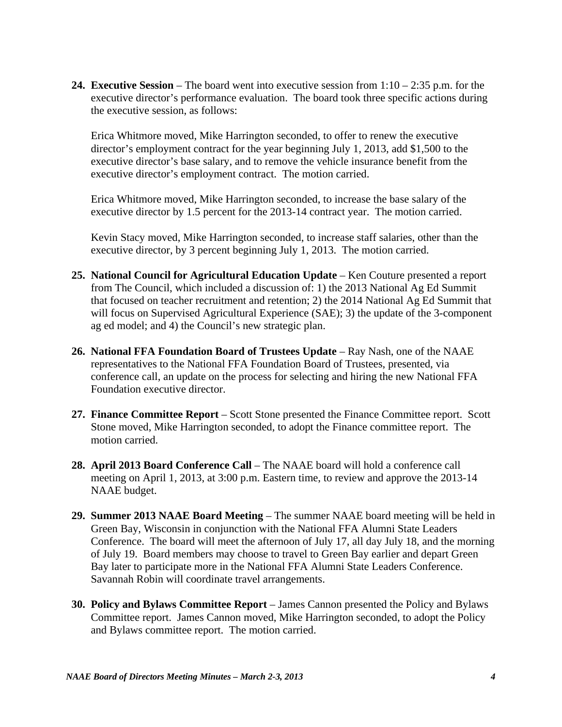**24. Executive Session** – The board went into executive session from 1:10 – 2:35 p.m. for the executive director's performance evaluation. The board took three specific actions during the executive session, as follows:

Erica Whitmore moved, Mike Harrington seconded, to offer to renew the executive director's employment contract for the year beginning July 1, 2013, add \$1,500 to the executive director's base salary, and to remove the vehicle insurance benefit from the executive director's employment contract. The motion carried.

Erica Whitmore moved, Mike Harrington seconded, to increase the base salary of the executive director by 1.5 percent for the 2013-14 contract year. The motion carried.

Kevin Stacy moved, Mike Harrington seconded, to increase staff salaries, other than the executive director, by 3 percent beginning July 1, 2013. The motion carried.

- **25. National Council for Agricultural Education Update** Ken Couture presented a report from The Council, which included a discussion of: 1) the 2013 National Ag Ed Summit that focused on teacher recruitment and retention; 2) the 2014 National Ag Ed Summit that will focus on Supervised Agricultural Experience (SAE); 3) the update of the 3-component ag ed model; and 4) the Council's new strategic plan.
- **26. National FFA Foundation Board of Trustees Update** Ray Nash, one of the NAAE representatives to the National FFA Foundation Board of Trustees, presented, via conference call, an update on the process for selecting and hiring the new National FFA Foundation executive director.
- **27. Finance Committee Report**  Scott Stone presented the Finance Committee report. Scott Stone moved, Mike Harrington seconded, to adopt the Finance committee report. The motion carried.
- **28. April 2013 Board Conference Call** The NAAE board will hold a conference call meeting on April 1, 2013, at 3:00 p.m. Eastern time, to review and approve the 2013-14 NAAE budget.
- **29. Summer 2013 NAAE Board Meeting** The summer NAAE board meeting will be held in Green Bay, Wisconsin in conjunction with the National FFA Alumni State Leaders Conference. The board will meet the afternoon of July 17, all day July 18, and the morning of July 19. Board members may choose to travel to Green Bay earlier and depart Green Bay later to participate more in the National FFA Alumni State Leaders Conference. Savannah Robin will coordinate travel arrangements.
- **30. Policy and Bylaws Committee Report**  James Cannon presented the Policy and Bylaws Committee report. James Cannon moved, Mike Harrington seconded, to adopt the Policy and Bylaws committee report. The motion carried.